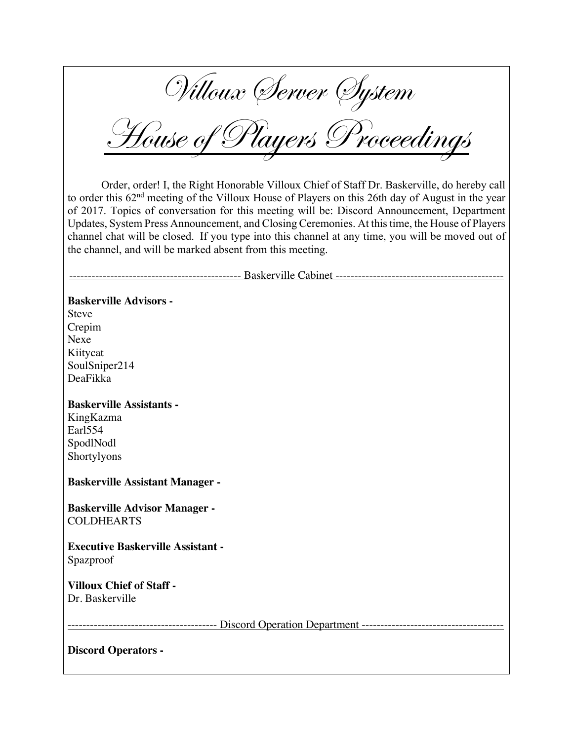Villoux Server System

House of Players Proceedings

Order, order! I, the Right Honorable Villoux Chief of Staff Dr. Baskerville, do hereby call to order this 62nd meeting of the Villoux House of Players on this 26th day of August in the year of 2017. Topics of conversation for this meeting will be: Discord Announcement, Department Updates, System Press Announcement, and Closing Ceremonies. At this time, the House of Players channel chat will be closed. If you type into this channel at any time, you will be moved out of the channel, and will be marked absent from this meeting.

---------------------------------------------- Baskerville Cabinet ---------------------------------------------

## **Baskerville Advisors -**

Steve Crepim Nexe Kiitycat SoulSniper214 DeaFikka

#### **Baskerville Assistants -**

KingKazma Earl554 SpodlNodl Shortylyons

#### **Baskerville Assistant Manager -**

**Baskerville Advisor Manager -** COLDHEARTS

**Executive Baskerville Assistant -** Spazproof

**Villoux Chief of Staff -** Dr. Baskerville

---------------------------------------- Discord Operation Department --------------------------------------

**Discord Operators -**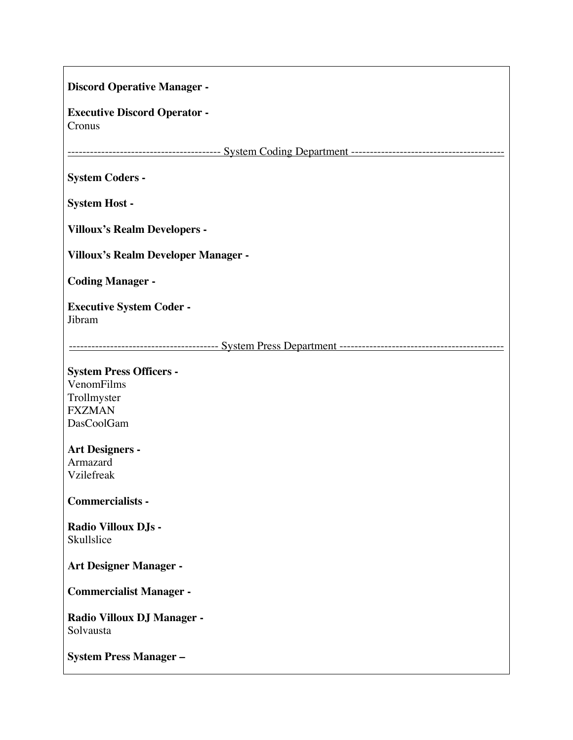| <b>Discord Operative Manager -</b>                                                         |
|--------------------------------------------------------------------------------------------|
| <b>Executive Discord Operator -</b><br>Cronus                                              |
|                                                                                            |
| <b>System Coders -</b>                                                                     |
| <b>System Host -</b>                                                                       |
| <b>Villoux's Realm Developers -</b>                                                        |
| <b>Villoux's Realm Developer Manager -</b>                                                 |
| <b>Coding Manager -</b>                                                                    |
| <b>Executive System Coder -</b><br>Jibram                                                  |
|                                                                                            |
| <b>System Press Officers -</b><br>VenomFilms<br>Trollmyster<br><b>FXZMAN</b><br>DasCoolGam |
| <b>Art Designers -</b><br>Armazard<br>Vzilefreak                                           |
| <b>Commercialists -</b>                                                                    |
| Radio Villoux DJs -<br>Skullslice                                                          |
| <b>Art Designer Manager -</b>                                                              |
| <b>Commercialist Manager -</b>                                                             |
| <b>Radio Villoux DJ Manager -</b><br>Solvausta                                             |
| <b>System Press Manager-</b>                                                               |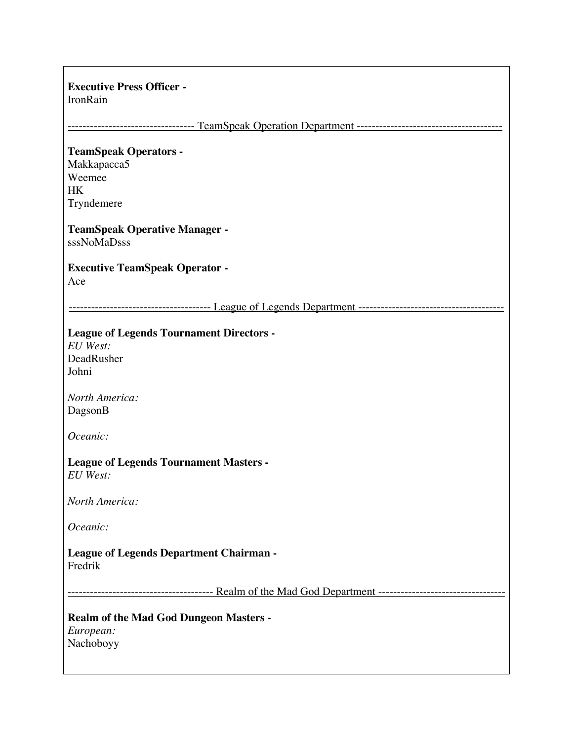#### **Executive Press Officer -**

IronRain

---------------------------------- TeamSpeak Operation Department ---------------------------------------

#### **TeamSpeak Operators -**

Makkapacca5 Weemee HK Tryndemere

#### **TeamSpeak Operative Manager**  sssNoMaDsss

#### **Executive TeamSpeak Operator -** Ace

-------------------------------------- League of Legends Department ---------------------------------------

## **League of Legends Tournament Directors -**

*EU West:*  DeadRusher Johni

*North America:* DagsonB

*Oceanic:*

**League of Legends Tournament Masters -** *EU West:*

*North America:*

*Oceanic:*

#### **League of Legends Department Chairman -** Fredrik

--------------------------------------- Realm of the Mad God Department ----------------------------------

## **Realm of the Mad God Dungeon Masters -** *European:* Nachoboyy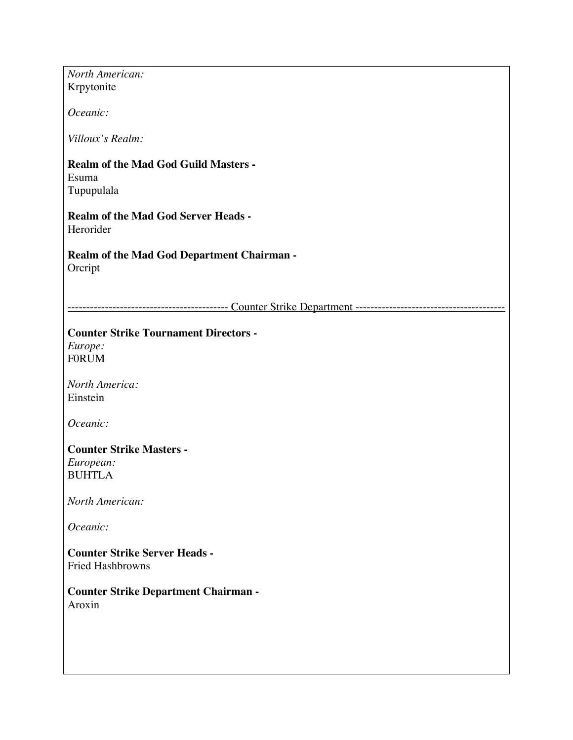| North American:                                                 |
|-----------------------------------------------------------------|
| Krpytonite                                                      |
| Oceanic:                                                        |
| Villoux's Realm:                                                |
| <b>Realm of the Mad God Guild Masters -</b><br>Esuma            |
| Tupupulala                                                      |
| <b>Realm of the Mad God Server Heads -</b><br>Herorider         |
| <b>Realm of the Mad God Department Chairman -</b><br>Orcript    |
|                                                                 |
|                                                                 |
| <b>Counter Strike Tournament Directors -</b>                    |
| Europe:                                                         |
| <b>FORUM</b>                                                    |
| <b>North America:</b>                                           |
| Einstein                                                        |
| Oceanic:                                                        |
| <b>Counter Strike Masters -</b>                                 |
| European:                                                       |
| <b>BUHTLA</b>                                                   |
| North American:                                                 |
| Oceanic:                                                        |
| <b>Counter Strike Server Heads -</b><br><b>Fried Hashbrowns</b> |
|                                                                 |
| <b>Counter Strike Department Chairman -</b><br>Aroxin           |
|                                                                 |
|                                                                 |
|                                                                 |
|                                                                 |
|                                                                 |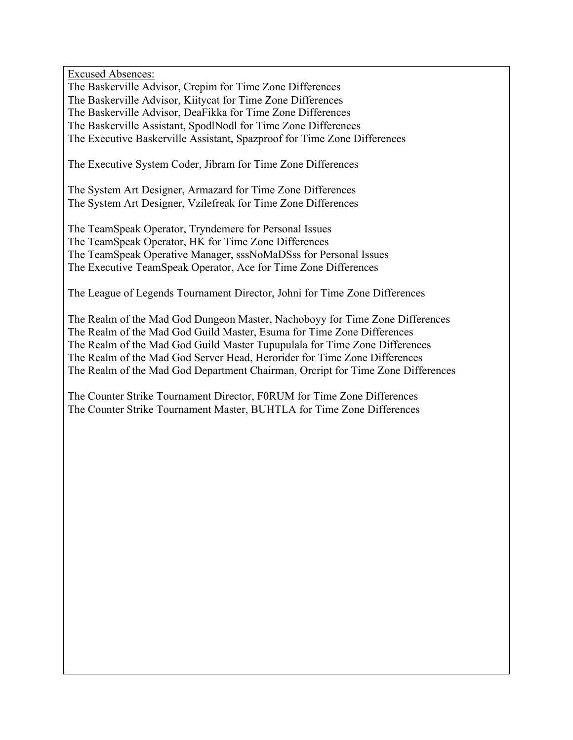Excused Absences:

The Baskerville Advisor, Crepim for Time Zone Differences

The Baskerville Advisor, Kiitycat for Time Zone Differences

The Baskerville Advisor, DeaFikka for Time Zone Differences

The Baskerville Assistant, SpodlNodl for Time Zone Differences

The Executive Baskerville Assistant, Spazproof for Time Zone Differences

The Executive System Coder, Jibram for Time Zone Differences

The System Art Designer, Armazard for Time Zone Differences The System Art Designer, Vzilefreak for Time Zone Differences

The TeamSpeak Operator, Tryndemere for Personal Issues The TeamSpeak Operator, HK for Time Zone Differences The TeamSpeak Operative Manager, sssNoMaDSss for Personal Issues The Executive TeamSpeak Operator, Ace for Time Zone Differences

The League of Legends Tournament Director, Johni for Time Zone Differences

The Realm of the Mad God Dungeon Master, Nachoboyy for Time Zone Differences The Realm of the Mad God Guild Master, Esuma for Time Zone Differences The Realm of the Mad God Guild Master Tupupulala for Time Zone Differences The Realm of the Mad God Server Head, Herorider for Time Zone Differences The Realm of the Mad God Department Chairman, Orcript for Time Zone Differences

The Counter Strike Tournament Director, F0RUM for Time Zone Differences The Counter Strike Tournament Master, BUHTLA for Time Zone Differences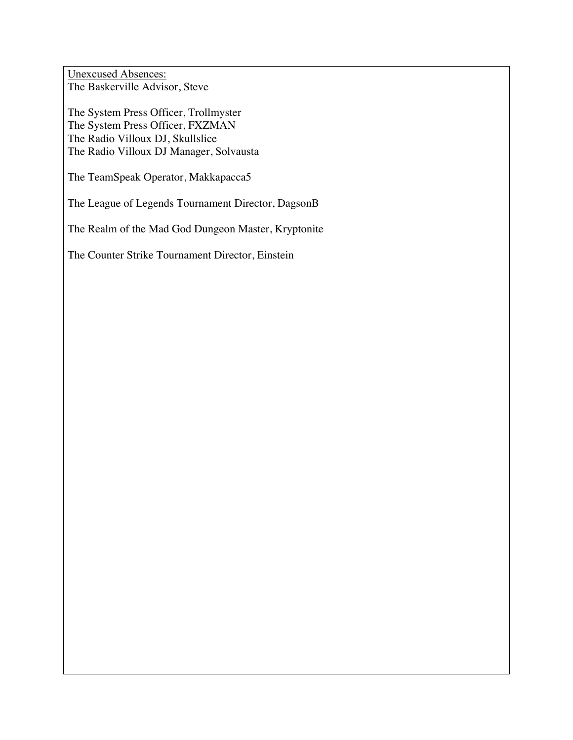Unexcused Absences: The Baskerville Advisor, Steve

The System Press Officer, Trollmyster The System Press Officer, FXZMAN The Radio Villoux DJ, Skullslice The Radio Villoux DJ Manager, Solvausta

The TeamSpeak Operator, Makkapacca5

The League of Legends Tournament Director, DagsonB

The Realm of the Mad God Dungeon Master, Kryptonite

The Counter Strike Tournament Director, Einstein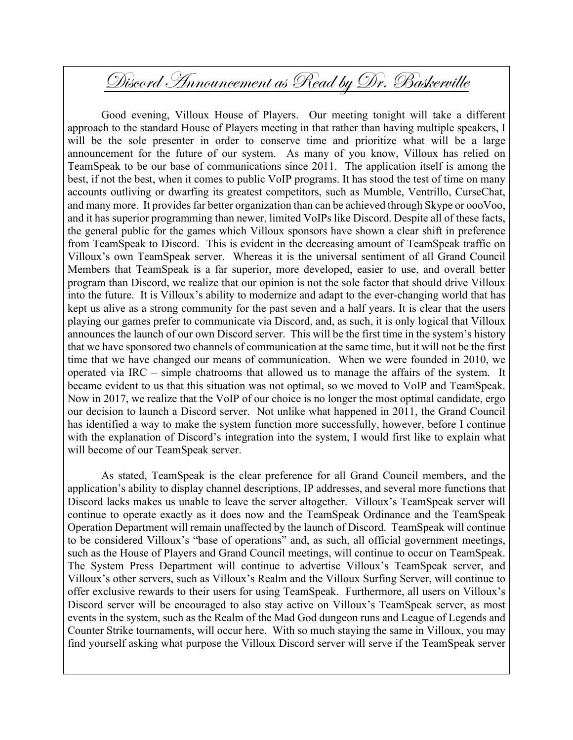## Discord Announcement as Read by Dr. Baskerville

Good evening, Villoux House of Players. Our meeting tonight will take a different approach to the standard House of Players meeting in that rather than having multiple speakers, I will be the sole presenter in order to conserve time and prioritize what will be a large announcement for the future of our system. As many of you know, Villoux has relied on TeamSpeak to be our base of communications since 2011. The application itself is among the best, if not the best, when it comes to public VoIP programs. It has stood the test of time on many accounts outliving or dwarfing its greatest competitors, such as Mumble, Ventrillo, CurseChat, and many more. It provides far better organization than can be achieved through Skype or oooVoo, and it has superior programming than newer, limited VoIPs like Discord. Despite all of these facts, the general public for the games which Villoux sponsors have shown a clear shift in preference from TeamSpeak to Discord. This is evident in the decreasing amount of TeamSpeak traffic on Villoux's own TeamSpeak server. Whereas it is the universal sentiment of all Grand Council Members that TeamSpeak is a far superior, more developed, easier to use, and overall better program than Discord, we realize that our opinion is not the sole factor that should drive Villoux into the future. It is Villoux's ability to modernize and adapt to the ever-changing world that has kept us alive as a strong community for the past seven and a half years. It is clear that the users playing our games prefer to communicate via Discord, and, as such, it is only logical that Villoux announces the launch of our own Discord server. This will be the first time in the system's history that we have sponsored two channels of communication at the same time, but it will not be the first time that we have changed our means of communication. When we were founded in 2010, we operated via IRC – simple chatrooms that allowed us to manage the affairs of the system. It became evident to us that this situation was not optimal, so we moved to VoIP and TeamSpeak. Now in 2017, we realize that the VoIP of our choice is no longer the most optimal candidate, ergo our decision to launch a Discord server. Not unlike what happened in 2011, the Grand Council has identified a way to make the system function more successfully, however, before I continue with the explanation of Discord's integration into the system, I would first like to explain what will become of our TeamSpeak server.

As stated, TeamSpeak is the clear preference for all Grand Council members, and the application's ability to display channel descriptions, IP addresses, and several more functions that Discord lacks makes us unable to leave the server altogether. Villoux's TeamSpeak server will continue to operate exactly as it does now and the TeamSpeak Ordinance and the TeamSpeak Operation Department will remain unaffected by the launch of Discord. TeamSpeak will continue to be considered Villoux's "base of operations" and, as such, all official government meetings, such as the House of Players and Grand Council meetings, will continue to occur on TeamSpeak. The System Press Department will continue to advertise Villoux's TeamSpeak server, and Villoux's other servers, such as Villoux's Realm and the Villoux Surfing Server, will continue to offer exclusive rewards to their users for using TeamSpeak. Furthermore, all users on Villoux's Discord server will be encouraged to also stay active on Villoux's TeamSpeak server, as most events in the system, such as the Realm of the Mad God dungeon runs and League of Legends and Counter Strike tournaments, will occur here. With so much staying the same in Villoux, you may find yourself asking what purpose the Villoux Discord server will serve if the TeamSpeak server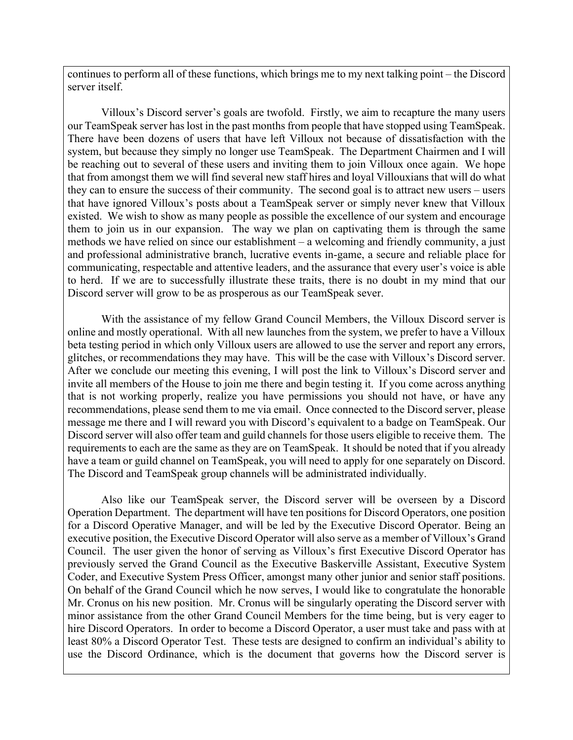continues to perform all of these functions, which brings me to my next talking point – the Discord server itself.

Villoux's Discord server's goals are twofold. Firstly, we aim to recapture the many users our TeamSpeak server has lost in the past months from people that have stopped using TeamSpeak. There have been dozens of users that have left Villoux not because of dissatisfaction with the system, but because they simply no longer use TeamSpeak. The Department Chairmen and I will be reaching out to several of these users and inviting them to join Villoux once again. We hope that from amongst them we will find several new staff hires and loyal Villouxians that will do what they can to ensure the success of their community. The second goal is to attract new users – users that have ignored Villoux's posts about a TeamSpeak server or simply never knew that Villoux existed. We wish to show as many people as possible the excellence of our system and encourage them to join us in our expansion. The way we plan on captivating them is through the same methods we have relied on since our establishment – a welcoming and friendly community, a just and professional administrative branch, lucrative events in-game, a secure and reliable place for communicating, respectable and attentive leaders, and the assurance that every user's voice is able to herd. If we are to successfully illustrate these traits, there is no doubt in my mind that our Discord server will grow to be as prosperous as our TeamSpeak sever.

With the assistance of my fellow Grand Council Members, the Villoux Discord server is online and mostly operational. With all new launches from the system, we prefer to have a Villoux beta testing period in which only Villoux users are allowed to use the server and report any errors, glitches, or recommendations they may have. This will be the case with Villoux's Discord server. After we conclude our meeting this evening, I will post the link to Villoux's Discord server and invite all members of the House to join me there and begin testing it. If you come across anything that is not working properly, realize you have permissions you should not have, or have any recommendations, please send them to me via email. Once connected to the Discord server, please message me there and I will reward you with Discord's equivalent to a badge on TeamSpeak. Our Discord server will also offer team and guild channels for those users eligible to receive them. The requirements to each are the same as they are on TeamSpeak. It should be noted that if you already have a team or guild channel on TeamSpeak, you will need to apply for one separately on Discord. The Discord and TeamSpeak group channels will be administrated individually.

Also like our TeamSpeak server, the Discord server will be overseen by a Discord Operation Department. The department will have ten positions for Discord Operators, one position for a Discord Operative Manager, and will be led by the Executive Discord Operator. Being an executive position, the Executive Discord Operator will also serve as a member of Villoux's Grand Council. The user given the honor of serving as Villoux's first Executive Discord Operator has previously served the Grand Council as the Executive Baskerville Assistant, Executive System Coder, and Executive System Press Officer, amongst many other junior and senior staff positions. On behalf of the Grand Council which he now serves, I would like to congratulate the honorable Mr. Cronus on his new position. Mr. Cronus will be singularly operating the Discord server with minor assistance from the other Grand Council Members for the time being, but is very eager to hire Discord Operators. In order to become a Discord Operator, a user must take and pass with at least 80% a Discord Operator Test. These tests are designed to confirm an individual's ability to use the Discord Ordinance, which is the document that governs how the Discord server is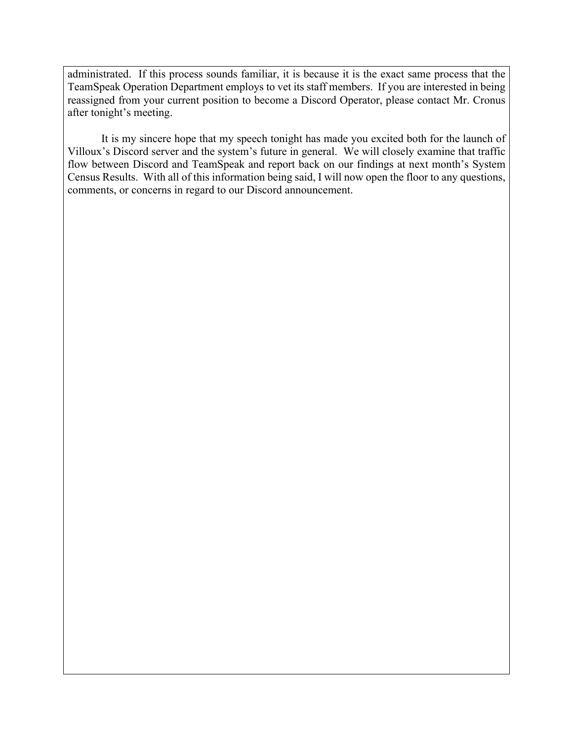administrated. If this process sounds familiar, it is because it is the exact same process that the TeamSpeak Operation Department employs to vet its staff members. If you are interested in being reassigned from your current position to become a Discord Operator, please contact Mr. Cronus after tonight's meeting.

It is my sincere hope that my speech tonight has made you excited both for the launch of Villoux's Discord server and the system's future in general. We will closely examine that traffic flow between Discord and TeamSpeak and report back on our findings at next month's System Census Results. With all of this information being said, I will now open the floor to any questions, comments, or concerns in regard to our Discord announcement.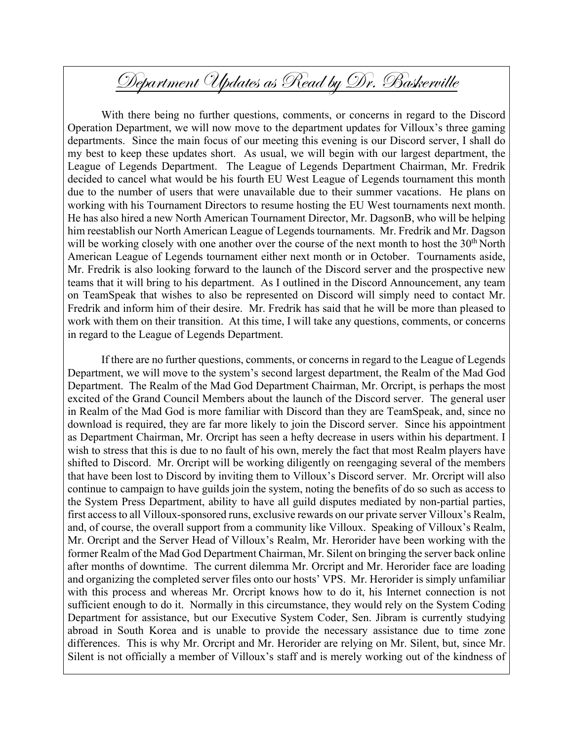# Department Updates as Read by Dr. Baskerville

With there being no further questions, comments, or concerns in regard to the Discord Operation Department, we will now move to the department updates for Villoux's three gaming departments. Since the main focus of our meeting this evening is our Discord server, I shall do my best to keep these updates short. As usual, we will begin with our largest department, the League of Legends Department. The League of Legends Department Chairman, Mr. Fredrik decided to cancel what would be his fourth EU West League of Legends tournament this month due to the number of users that were unavailable due to their summer vacations. He plans on working with his Tournament Directors to resume hosting the EU West tournaments next month. He has also hired a new North American Tournament Director, Mr. DagsonB, who will be helping him reestablish our North American League of Legends tournaments. Mr. Fredrik and Mr. Dagson will be working closely with one another over the course of the next month to host the 30<sup>th</sup> North American League of Legends tournament either next month or in October. Tournaments aside, Mr. Fredrik is also looking forward to the launch of the Discord server and the prospective new teams that it will bring to his department. As I outlined in the Discord Announcement, any team on TeamSpeak that wishes to also be represented on Discord will simply need to contact Mr. Fredrik and inform him of their desire. Mr. Fredrik has said that he will be more than pleased to work with them on their transition. At this time, I will take any questions, comments, or concerns in regard to the League of Legends Department.

If there are no further questions, comments, or concerns in regard to the League of Legends Department, we will move to the system's second largest department, the Realm of the Mad God Department. The Realm of the Mad God Department Chairman, Mr. Orcript, is perhaps the most excited of the Grand Council Members about the launch of the Discord server. The general user in Realm of the Mad God is more familiar with Discord than they are TeamSpeak, and, since no download is required, they are far more likely to join the Discord server. Since his appointment as Department Chairman, Mr. Orcript has seen a hefty decrease in users within his department. I wish to stress that this is due to no fault of his own, merely the fact that most Realm players have shifted to Discord. Mr. Orcript will be working diligently on reengaging several of the members that have been lost to Discord by inviting them to Villoux's Discord server. Mr. Orcript will also continue to campaign to have guilds join the system, noting the benefits of do so such as access to the System Press Department, ability to have all guild disputes mediated by non-partial parties, first access to all Villoux-sponsored runs, exclusive rewards on our private server Villoux's Realm, and, of course, the overall support from a community like Villoux. Speaking of Villoux's Realm, Mr. Orcript and the Server Head of Villoux's Realm, Mr. Herorider have been working with the former Realm of the Mad God Department Chairman, Mr. Silent on bringing the server back online after months of downtime. The current dilemma Mr. Orcript and Mr. Herorider face are loading and organizing the completed server files onto our hosts' VPS. Mr. Herorider is simply unfamiliar with this process and whereas Mr. Orcript knows how to do it, his Internet connection is not sufficient enough to do it. Normally in this circumstance, they would rely on the System Coding Department for assistance, but our Executive System Coder, Sen. Jibram is currently studying abroad in South Korea and is unable to provide the necessary assistance due to time zone differences. This is why Mr. Orcript and Mr. Herorider are relying on Mr. Silent, but, since Mr. Silent is not officially a member of Villoux's staff and is merely working out of the kindness of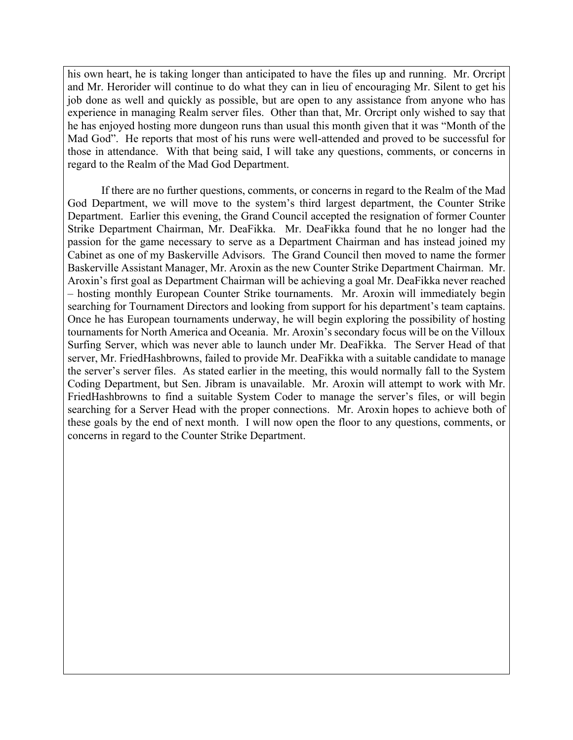his own heart, he is taking longer than anticipated to have the files up and running. Mr. Orcript and Mr. Herorider will continue to do what they can in lieu of encouraging Mr. Silent to get his job done as well and quickly as possible, but are open to any assistance from anyone who has experience in managing Realm server files. Other than that, Mr. Orcript only wished to say that he has enjoyed hosting more dungeon runs than usual this month given that it was "Month of the Mad God". He reports that most of his runs were well-attended and proved to be successful for those in attendance. With that being said, I will take any questions, comments, or concerns in regard to the Realm of the Mad God Department.

If there are no further questions, comments, or concerns in regard to the Realm of the Mad God Department, we will move to the system's third largest department, the Counter Strike Department. Earlier this evening, the Grand Council accepted the resignation of former Counter Strike Department Chairman, Mr. DeaFikka. Mr. DeaFikka found that he no longer had the passion for the game necessary to serve as a Department Chairman and has instead joined my Cabinet as one of my Baskerville Advisors. The Grand Council then moved to name the former Baskerville Assistant Manager, Mr. Aroxin as the new Counter Strike Department Chairman. Mr. Aroxin's first goal as Department Chairman will be achieving a goal Mr. DeaFikka never reached – hosting monthly European Counter Strike tournaments. Mr. Aroxin will immediately begin searching for Tournament Directors and looking from support for his department's team captains. Once he has European tournaments underway, he will begin exploring the possibility of hosting tournaments for North America and Oceania. Mr. Aroxin's secondary focus will be on the Villoux Surfing Server, which was never able to launch under Mr. DeaFikka. The Server Head of that server, Mr. FriedHashbrowns, failed to provide Mr. DeaFikka with a suitable candidate to manage the server's server files. As stated earlier in the meeting, this would normally fall to the System Coding Department, but Sen. Jibram is unavailable. Mr. Aroxin will attempt to work with Mr. FriedHashbrowns to find a suitable System Coder to manage the server's files, or will begin searching for a Server Head with the proper connections. Mr. Aroxin hopes to achieve both of these goals by the end of next month. I will now open the floor to any questions, comments, or concerns in regard to the Counter Strike Department.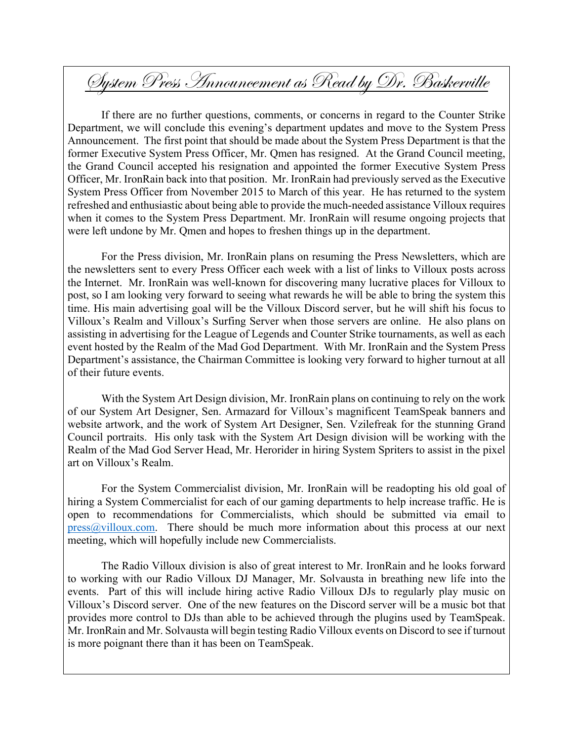# System Press Announcement as Read by Dr. Baskerville

If there are no further questions, comments, or concerns in regard to the Counter Strike Department, we will conclude this evening's department updates and move to the System Press Announcement. The first point that should be made about the System Press Department is that the former Executive System Press Officer, Mr. Qmen has resigned. At the Grand Council meeting, the Grand Council accepted his resignation and appointed the former Executive System Press Officer, Mr. IronRain back into that position. Mr. IronRain had previously served as the Executive System Press Officer from November 2015 to March of this year. He has returned to the system refreshed and enthusiastic about being able to provide the much-needed assistance Villoux requires when it comes to the System Press Department. Mr. IronRain will resume ongoing projects that were left undone by Mr. Qmen and hopes to freshen things up in the department.

For the Press division, Mr. IronRain plans on resuming the Press Newsletters, which are the newsletters sent to every Press Officer each week with a list of links to Villoux posts across the Internet. Mr. IronRain was well-known for discovering many lucrative places for Villoux to post, so I am looking very forward to seeing what rewards he will be able to bring the system this time. His main advertising goal will be the Villoux Discord server, but he will shift his focus to Villoux's Realm and Villoux's Surfing Server when those servers are online. He also plans on assisting in advertising for the League of Legends and Counter Strike tournaments, as well as each event hosted by the Realm of the Mad God Department. With Mr. IronRain and the System Press Department's assistance, the Chairman Committee is looking very forward to higher turnout at all of their future events.

With the System Art Design division, Mr. IronRain plans on continuing to rely on the work of our System Art Designer, Sen. Armazard for Villoux's magnificent TeamSpeak banners and website artwork, and the work of System Art Designer, Sen. Vzilefreak for the stunning Grand Council portraits. His only task with the System Art Design division will be working with the Realm of the Mad God Server Head, Mr. Herorider in hiring System Spriters to assist in the pixel art on Villoux's Realm.

For the System Commercialist division, Mr. IronRain will be readopting his old goal of hiring a System Commercialist for each of our gaming departments to help increase traffic. He is open to recommendations for Commercialists, which should be submitted via email to  $pres@villoux.com.$  There should be much more information about this process at our next meeting, which will hopefully include new Commercialists.

The Radio Villoux division is also of great interest to Mr. IronRain and he looks forward to working with our Radio Villoux DJ Manager, Mr. Solvausta in breathing new life into the events. Part of this will include hiring active Radio Villoux DJs to regularly play music on Villoux's Discord server. One of the new features on the Discord server will be a music bot that provides more control to DJs than able to be achieved through the plugins used by TeamSpeak. Mr. IronRain and Mr. Solvausta will begin testing Radio Villoux events on Discord to see if turnout is more poignant there than it has been on TeamSpeak.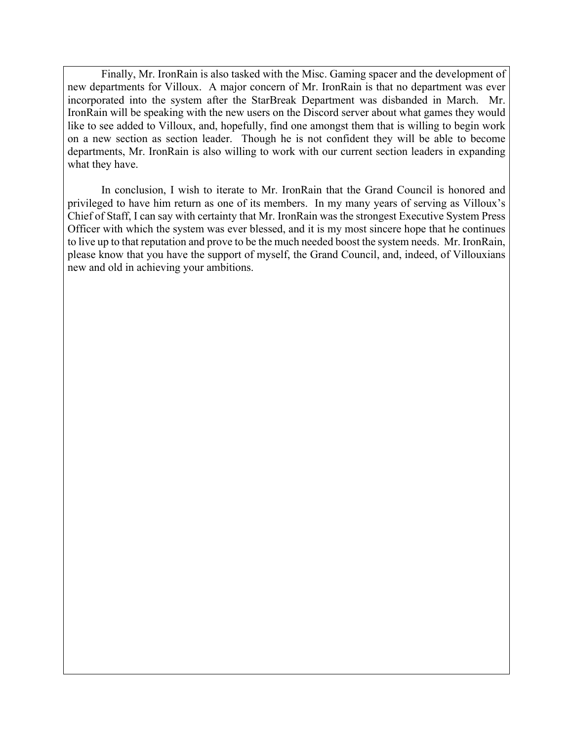Finally, Mr. IronRain is also tasked with the Misc. Gaming spacer and the development of new departments for Villoux. A major concern of Mr. IronRain is that no department was ever incorporated into the system after the StarBreak Department was disbanded in March. Mr. IronRain will be speaking with the new users on the Discord server about what games they would like to see added to Villoux, and, hopefully, find one amongst them that is willing to begin work on a new section as section leader. Though he is not confident they will be able to become departments, Mr. IronRain is also willing to work with our current section leaders in expanding what they have.

In conclusion, I wish to iterate to Mr. IronRain that the Grand Council is honored and privileged to have him return as one of its members. In my many years of serving as Villoux's Chief of Staff, I can say with certainty that Mr. IronRain was the strongest Executive System Press Officer with which the system was ever blessed, and it is my most sincere hope that he continues to live up to that reputation and prove to be the much needed boost the system needs. Mr. IronRain, please know that you have the support of myself, the Grand Council, and, indeed, of Villouxians new and old in achieving your ambitions.